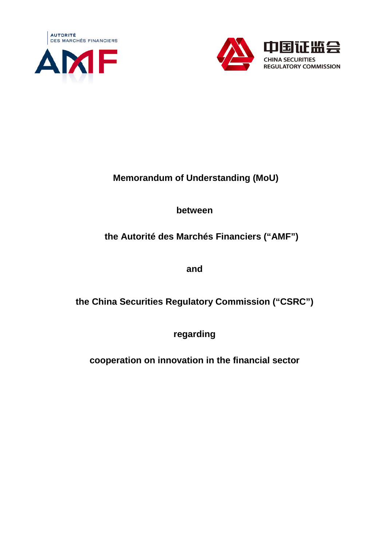



# **Memorandum of Understanding (MoU)**

## **between**

# **the Autorité des Marchés Financiers ("AMF")**

**and** 

**the China Securities Regulatory Commission ("CSRC")** 

**regarding** 

**cooperation on innovation in the financial sector**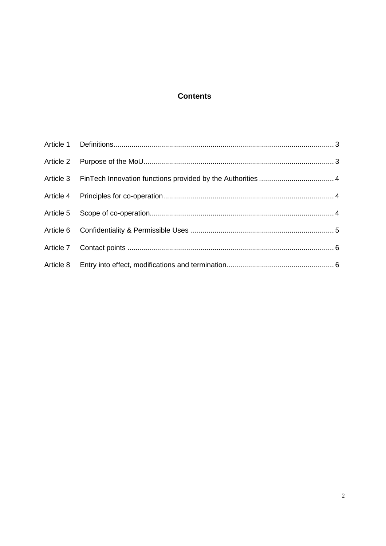#### **Contents**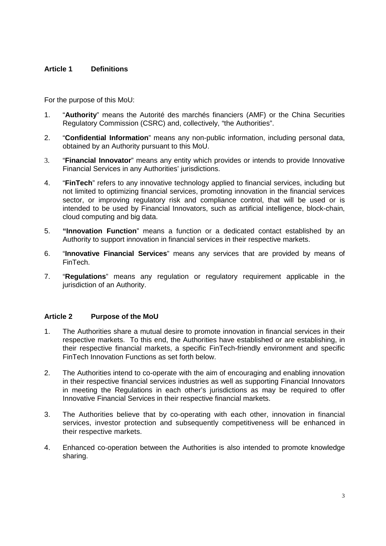#### **Article 1 Definitions**

For the purpose of this MoU:

- 1. "**Authority**" means the Autorité des marchés financiers (AMF) or the China Securities Regulatory Commission (CSRC) and, collectively, "the Authorities".
- 2. "**Confidential Information**" means any non-public information, including personal data, obtained by an Authority pursuant to this MoU.
- 3. "**Financial Innovator**" means any entity which provides or intends to provide Innovative Financial Services in any Authorities' jurisdictions.
- 4. "**FinTech**" refers to any innovative technology applied to financial services, including but not limited to optimizing financial services, promoting innovation in the financial services sector, or improving regulatory risk and compliance control, that will be used or is intended to be used by Financial Innovators, such as artificial intelligence, block-chain, cloud computing and big data.
- 5. **"Innovation Function**" means a function or a dedicated contact established by an Authority to support innovation in financial services in their respective markets.
- 6. "**Innovative Financial Services**" means any services that are provided by means of FinTech.
- 7. "**Regulations**" means any regulation or regulatory requirement applicable in the jurisdiction of an Authority.

#### **Article 2 Purpose of the MoU**

- 1. The Authorities share a mutual desire to promote innovation in financial services in their respective markets. To this end, the Authorities have established or are establishing, in their respective financial markets, a specific FinTech-friendly environment and specific FinTech Innovation Functions as set forth below.
- 2. The Authorities intend to co-operate with the aim of encouraging and enabling innovation in their respective financial services industries as well as supporting Financial Innovators in meeting the Regulations in each other's jurisdictions as may be required to offer Innovative Financial Services in their respective financial markets.
- 3. The Authorities believe that by co-operating with each other, innovation in financial services, investor protection and subsequently competitiveness will be enhanced in their respective markets.
- 4. Enhanced co-operation between the Authorities is also intended to promote knowledge sharing.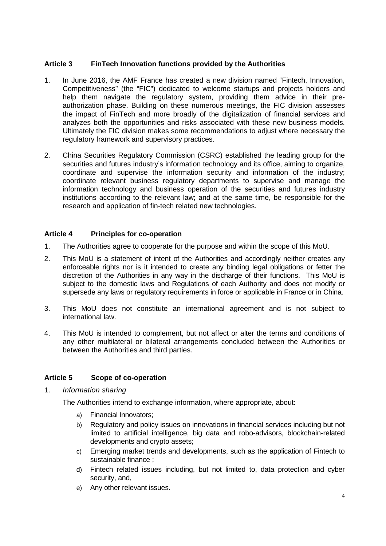#### **Article 3 FinTech Innovation functions provided by the Authorities**

- 1. In June 2016, the AMF France has created a new division named "Fintech, Innovation, Competitiveness" (the "FIC") dedicated to welcome startups and projects holders and help them navigate the regulatory system, providing them advice in their preauthorization phase. Building on these numerous meetings, the FIC division assesses the impact of FinTech and more broadly of the digitalization of financial services and analyzes both the opportunities and risks associated with these new business models. Ultimately the FIC division makes some recommendations to adjust where necessary the regulatory framework and supervisory practices.
- 2. China Securities Regulatory Commission (CSRC) established the leading group for the securities and futures industry's information technology and its office, aiming to organize, coordinate and supervise the information security and information of the industry; coordinate relevant business regulatory departments to supervise and manage the information technology and business operation of the securities and futures industry institutions according to the relevant law; and at the same time, be responsible for the research and application of fin-tech related new technologies.

#### **Article 4 Principles for co-operation**

- 1. The Authorities agree to cooperate for the purpose and within the scope of this MoU.
- 2. This MoU is a statement of intent of the Authorities and accordingly neither creates any enforceable rights nor is it intended to create any binding legal obligations or fetter the discretion of the Authorities in any way in the discharge of their functions. This MoU is subject to the domestic laws and Regulations of each Authority and does not modify or supersede any laws or regulatory requirements in force or applicable in France or in China.
- 3. This MoU does not constitute an international agreement and is not subject to international law.
- 4. This MoU is intended to complement, but not affect or alter the terms and conditions of any other multilateral or bilateral arrangements concluded between the Authorities or between the Authorities and third parties.

#### **Article 5 Scope of co-operation**

1. Information sharing

The Authorities intend to exchange information, where appropriate, about:

- a) Financial Innovators;
- b) Regulatory and policy issues on innovations in financial services including but not limited to artificial intelligence, big data and robo-advisors, blockchain-related developments and crypto assets;
- c) Emerging market trends and developments, such as the application of Fintech to sustainable finance ;
- d) Fintech related issues including, but not limited to, data protection and cyber security, and,
- e) Any other relevant issues.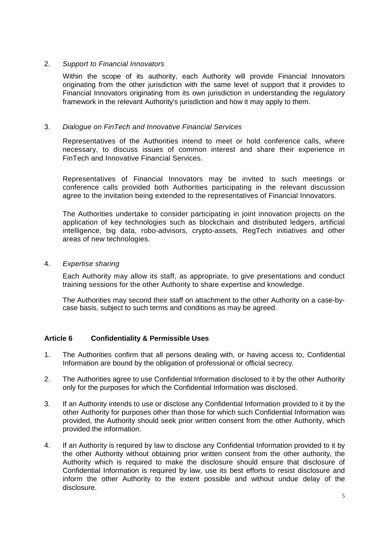#### 2. Support to Financial Innovators

Within the scope of its authority, each Authority will provide Financial Innovators originating from the other jurisdiction with the same level of support that it provides to Financial Innovators originating from its own jurisdiction in understanding the regulatory framework in the relevant Authority's jurisdiction and how it may apply to them.

#### 3. Dialogue on FinTech and Innovative Financial Services

Representatives of the Authorities intend to meet or hold conference calls, where necessary, to discuss issues of common interest and share their experience in FinTech and Innovative Financial Services.

Representatives of Financial Innovators may be invited to such meetings or conference calls provided both Authorities participating in the relevant discussion agree to the invitation being extended to the representatives of Financial Innovators.

The Authorities undertake to consider participating in joint innovation projects on the application of key technologies such as blockchain and distributed ledgers, artificial intelligence, big data, robo-advisors, crypto-assets, RegTech initiatives and other areas of new technologies.

#### 4. Expertise sharing

Each Authority may allow its staff, as appropriate, to give presentations and conduct training sessions for the other Authority to share expertise and knowledge.

The Authorities may second their staff on attachment to the other Authority on a case-bycase basis, subject to such terms and conditions as may be agreed.

#### **Article 6 Confidentiality & Permissible Uses**

- 1. The Authorities confirm that all persons dealing with, or having access to, Confidential Information are bound by the obligation of professional or official secrecy.
- 2. The Authorities agree to use Confidential Information disclosed to it by the other Authority only for the purposes for which the Confidential Information was disclosed.
- 3. If an Authority intends to use or disclose any Confidential Information provided to it by the other Authority for purposes other than those for which such Confidential Information was provided, the Authority should seek prior written consent from the other Authority, which provided the information.
- 4. If an Authority is required by law to disclose any Confidential Information provided to it by the other Authority without obtaining prior written consent from the other authority, the Authority which is required to make the disclosure should ensure that disclosure of Confidential Information is required by law, use its best efforts to resist disclosure and inform the other Authority to the extent possible and without undue delay of the disclosure.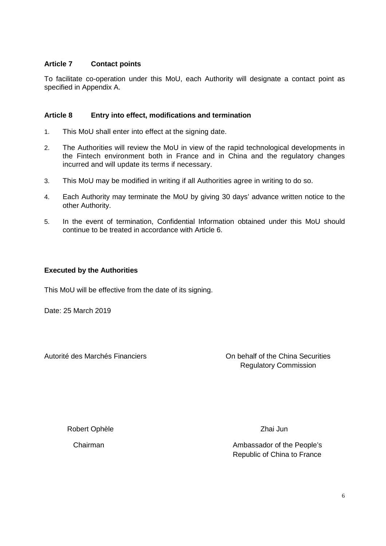#### **Article 7 Contact points**

To facilitate co-operation under this MoU, each Authority will designate a contact point as specified in Appendix A.

#### **Article 8 Entry into effect, modifications and termination**

- 1. This MoU shall enter into effect at the signing date.
- 2. The Authorities will review the MoU in view of the rapid technological developments in the Fintech environment both in France and in China and the regulatory changes incurred and will update its terms if necessary.
- 3. This MoU may be modified in writing if all Authorities agree in writing to do so.
- 4. Each Authority may terminate the MoU by giving 30 days' advance written notice to the other Authority.
- 5. In the event of termination, Confidential Information obtained under this MoU should continue to be treated in accordance with Article 6.

#### **Executed by the Authorities**

This MoU will be effective from the date of its signing.

Date: 25 March 2019

Autorité des Marchés Financiers On behalf of the China Securities Regulatory Commission

Robert Ophèle

Chairman

Zhai Jun

Ambassador of the People's Republic of China to France